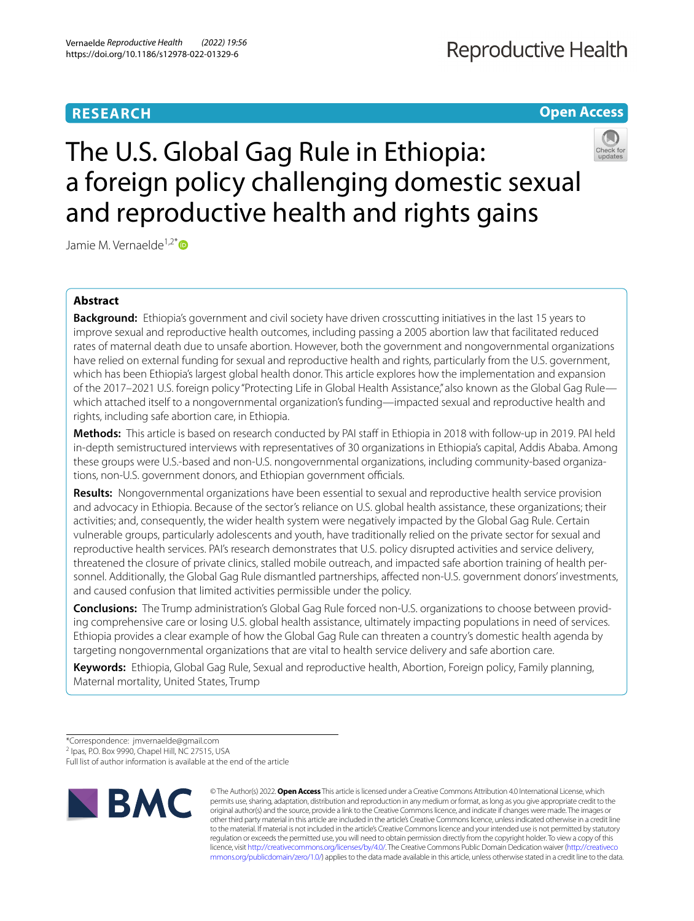# **RESEARCH**

# **Open Access**





# Jamie M. Vernaelde<sup>1,2[\\*](http://orcid.org/0000-0002-2695-5054)</sup>

# **Abstract**

**Background:** Ethiopia's government and civil society have driven crosscutting initiatives in the last 15 years to improve sexual and reproductive health outcomes, including passing a 2005 abortion law that facilitated reduced rates of maternal death due to unsafe abortion. However, both the government and nongovernmental organizations have relied on external funding for sexual and reproductive health and rights, particularly from the U.S. government, which has been Ethiopia's largest global health donor. This article explores how the implementation and expansion of the 2017–2021 U.S. foreign policy "Protecting Life in Global Health Assistance," also known as the Global Gag Rule which attached itself to a nongovernmental organization's funding—impacted sexual and reproductive health and rights, including safe abortion care, in Ethiopia.

**Methods:** This article is based on research conducted by PAI staff in Ethiopia in 2018 with follow-up in 2019. PAI held in-depth semistructured interviews with representatives of 30 organizations in Ethiopia's capital, Addis Ababa. Among these groups were U.S.-based and non-U.S. nongovernmental organizations, including community-based organizations, non-U.S. government donors, and Ethiopian government officials.

**Results:** Nongovernmental organizations have been essential to sexual and reproductive health service provision and advocacy in Ethiopia. Because of the sector's reliance on U.S. global health assistance, these organizations; their activities; and, consequently, the wider health system were negatively impacted by the Global Gag Rule. Certain vulnerable groups, particularly adolescents and youth, have traditionally relied on the private sector for sexual and reproductive health services. PAI's research demonstrates that U.S. policy disrupted activities and service delivery, threatened the closure of private clinics, stalled mobile outreach, and impacted safe abortion training of health personnel. Additionally, the Global Gag Rule dismantled partnerships, afected non-U.S. government donors' investments, and caused confusion that limited activities permissible under the policy.

**Conclusions:** The Trump administration's Global Gag Rule forced non-U.S. organizations to choose between providing comprehensive care or losing U.S. global health assistance, ultimately impacting populations in need of services. Ethiopia provides a clear example of how the Global Gag Rule can threaten a country's domestic health agenda by targeting nongovernmental organizations that are vital to health service delivery and safe abortion care.

**Keywords:** Ethiopia, Global Gag Rule, Sexual and reproductive health, Abortion, Foreign policy, Family planning, Maternal mortality, United States, Trump

<sup>2</sup> Ipas, P.O. Box 9990, Chapel Hill, NC 27515, USA

Full list of author information is available at the end of the article



© The Author(s) 2022. **Open Access** This article is licensed under a Creative Commons Attribution 4.0 International License, which permits use, sharing, adaptation, distribution and reproduction in any medium or format, as long as you give appropriate credit to the original author(s) and the source, provide a link to the Creative Commons licence, and indicate if changes were made. The images or other third party material in this article are included in the article's Creative Commons licence, unless indicated otherwise in a credit line to the material. If material is not included in the article's Creative Commons licence and your intended use is not permitted by statutory regulation or exceeds the permitted use, you will need to obtain permission directly from the copyright holder. To view a copy of this licence, visit [http://creativecommons.org/licenses/by/4.0/.](http://creativecommons.org/licenses/by/4.0/) The Creative Commons Public Domain Dedication waiver ([http://creativeco](http://creativecommons.org/publicdomain/zero/1.0/) [mmons.org/publicdomain/zero/1.0/](http://creativecommons.org/publicdomain/zero/1.0/)) applies to the data made available in this article, unless otherwise stated in a credit line to the data.

<sup>\*</sup>Correspondence: jmvernaelde@gmail.com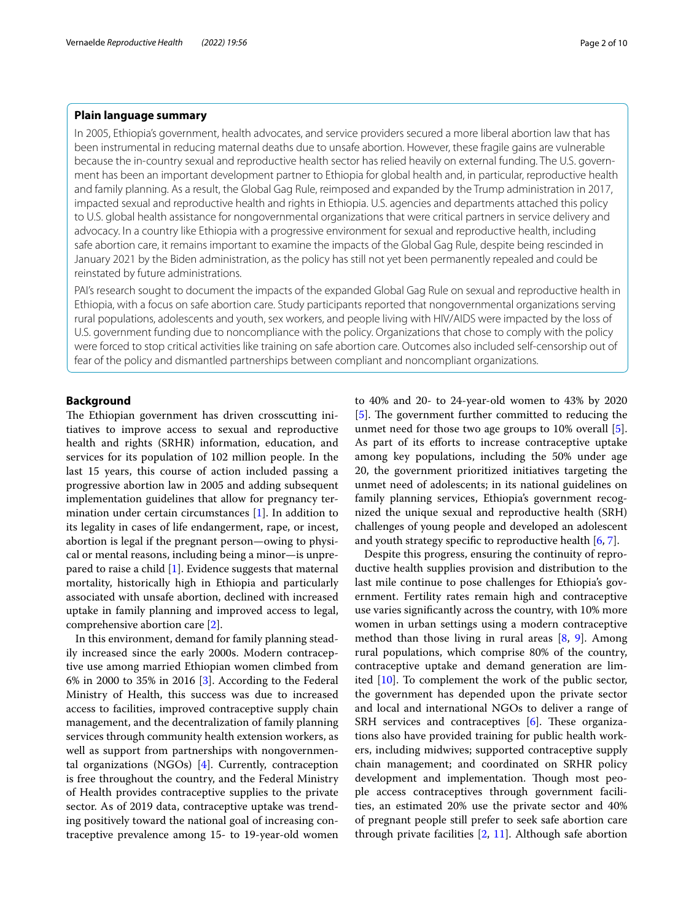# **Plain language summary**

In 2005, Ethiopia's government, health advocates, and service providers secured a more liberal abortion law that has been instrumental in reducing maternal deaths due to unsafe abortion. However, these fragile gains are vulnerable because the in-country sexual and reproductive health sector has relied heavily on external funding. The U.S. government has been an important development partner to Ethiopia for global health and, in particular, reproductive health and family planning. As a result, the Global Gag Rule, reimposed and expanded by the Trump administration in 2017, impacted sexual and reproductive health and rights in Ethiopia. U.S. agencies and departments attached this policy to U.S. global health assistance for nongovernmental organizations that were critical partners in service delivery and advocacy. In a country like Ethiopia with a progressive environment for sexual and reproductive health, including safe abortion care, it remains important to examine the impacts of the Global Gag Rule, despite being rescinded in January 2021 by the Biden administration, as the policy has still not yet been permanently repealed and could be reinstated by future administrations.

PAI's research sought to document the impacts of the expanded Global Gag Rule on sexual and reproductive health in Ethiopia, with a focus on safe abortion care. Study participants reported that nongovernmental organizations serving rural populations, adolescents and youth, sex workers, and people living with HIV/AIDS were impacted by the loss of U.S. government funding due to noncompliance with the policy. Organizations that chose to comply with the policy were forced to stop critical activities like training on safe abortion care. Outcomes also included self-censorship out of fear of the policy and dismantled partnerships between compliant and noncompliant organizations.

# **Background**

The Ethiopian government has driven crosscutting initiatives to improve access to sexual and reproductive health and rights (SRHR) information, education, and services for its population of 102 million people. In the last 15 years, this course of action included passing a progressive abortion law in 2005 and adding subsequent implementation guidelines that allow for pregnancy termination under certain circumstances [\[1](#page-9-0)]. In addition to its legality in cases of life endangerment, rape, or incest, abortion is legal if the pregnant person—owing to physical or mental reasons, including being a minor—is unprepared to raise a child [\[1](#page-9-0)]. Evidence suggests that maternal mortality, historically high in Ethiopia and particularly associated with unsafe abortion, declined with increased uptake in family planning and improved access to legal, comprehensive abortion care [[2\]](#page-9-1).

In this environment, demand for family planning steadily increased since the early 2000s. Modern contraceptive use among married Ethiopian women climbed from 6% in 2000 to 35% in 2016 [[3\]](#page-9-2). According to the Federal Ministry of Health, this success was due to increased access to facilities, improved contraceptive supply chain management, and the decentralization of family planning services through community health extension workers, as well as support from partnerships with nongovernmental organizations (NGOs) [[4\]](#page-9-3). Currently, contraception is free throughout the country, and the Federal Ministry of Health provides contraceptive supplies to the private sector. As of 2019 data, contraceptive uptake was trending positively toward the national goal of increasing contraceptive prevalence among 15- to 19-year-old women to 40% and 20- to 24-year-old women to 43% by 2020 [[5\]](#page-9-4). The government further committed to reducing the unmet need for those two age groups to 10% overall [\[5](#page-9-4)]. As part of its efforts to increase contraceptive uptake among key populations, including the 50% under age 20, the government prioritized initiatives targeting the unmet need of adolescents; in its national guidelines on family planning services, Ethiopia's government recognized the unique sexual and reproductive health (SRH) challenges of young people and developed an adolescent and youth strategy specifc to reproductive health [\[6](#page-9-5), [7](#page-9-6)].

Despite this progress, ensuring the continuity of reproductive health supplies provision and distribution to the last mile continue to pose challenges for Ethiopia's government. Fertility rates remain high and contraceptive use varies signifcantly across the country, with 10% more women in urban settings using a modern contraceptive method than those living in rural areas  $[8, 9]$  $[8, 9]$  $[8, 9]$  $[8, 9]$ . Among rural populations, which comprise 80% of the country, contraceptive uptake and demand generation are limited [\[10\]](#page-9-9). To complement the work of the public sector, the government has depended upon the private sector and local and international NGOs to deliver a range of SRH services and contraceptives  $[6]$  $[6]$ . These organizations also have provided training for public health workers, including midwives; supported contraceptive supply chain management; and coordinated on SRHR policy development and implementation. Though most people access contraceptives through government facilities, an estimated 20% use the private sector and 40% of pregnant people still prefer to seek safe abortion care through private facilities  $[2, 11]$  $[2, 11]$  $[2, 11]$ . Although safe abortion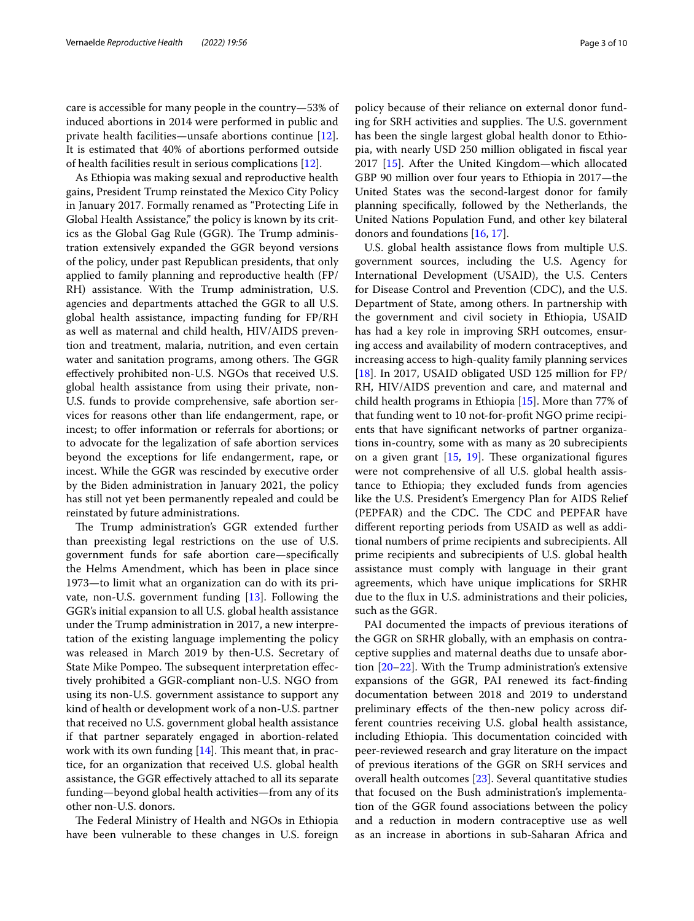care is accessible for many people in the country—53% of induced abortions in 2014 were performed in public and private health facilities—unsafe abortions continue [\[12](#page-9-11)]. It is estimated that 40% of abortions performed outside of health facilities result in serious complications [\[12](#page-9-11)].

As Ethiopia was making sexual and reproductive health gains, President Trump reinstated the Mexico City Policy in January 2017. Formally renamed as "Protecting Life in Global Health Assistance," the policy is known by its critics as the Global Gag Rule (GGR). The Trump administration extensively expanded the GGR beyond versions of the policy, under past Republican presidents, that only applied to family planning and reproductive health (FP/ RH) assistance. With the Trump administration, U.S. agencies and departments attached the GGR to all U.S. global health assistance, impacting funding for FP/RH as well as maternal and child health, HIV/AIDS prevention and treatment, malaria, nutrition, and even certain water and sanitation programs, among others. The GGR efectively prohibited non-U.S. NGOs that received U.S. global health assistance from using their private, non-U.S. funds to provide comprehensive, safe abortion services for reasons other than life endangerment, rape, or incest; to offer information or referrals for abortions; or to advocate for the legalization of safe abortion services beyond the exceptions for life endangerment, rape, or incest. While the GGR was rescinded by executive order by the Biden administration in January 2021, the policy has still not yet been permanently repealed and could be reinstated by future administrations.

The Trump administration's GGR extended further than preexisting legal restrictions on the use of U.S. government funds for safe abortion care—specifcally the Helms Amendment, which has been in place since 1973—to limit what an organization can do with its private, non-U.S. government funding [[13](#page-9-12)]. Following the GGR's initial expansion to all U.S. global health assistance under the Trump administration in 2017, a new interpretation of the existing language implementing the policy was released in March 2019 by then-U.S. Secretary of State Mike Pompeo. The subsequent interpretation effectively prohibited a GGR-compliant non-U.S. NGO from using its non-U.S. government assistance to support any kind of health or development work of a non-U.S. partner that received no U.S. government global health assistance if that partner separately engaged in abortion-related work with its own funding  $[14]$ . This meant that, in practice, for an organization that received U.S. global health assistance, the GGR efectively attached to all its separate funding—beyond global health activities—from any of its other non-U.S. donors.

The Federal Ministry of Health and NGOs in Ethiopia have been vulnerable to these changes in U.S. foreign

policy because of their reliance on external donor funding for SRH activities and supplies. The U.S. government

has been the single largest global health donor to Ethiopia, with nearly USD 250 million obligated in fscal year 2017 [[15](#page-9-14)]. After the United Kingdom—which allocated GBP 90 million over four years to Ethiopia in 2017—the United States was the second-largest donor for family planning specifcally, followed by the Netherlands, the United Nations Population Fund, and other key bilateral donors and foundations [\[16](#page-9-15), [17\]](#page-9-16).

U.S. global health assistance flows from multiple U.S. government sources, including the U.S. Agency for International Development (USAID), the U.S. Centers for Disease Control and Prevention (CDC), and the U.S. Department of State, among others. In partnership with the government and civil society in Ethiopia, USAID has had a key role in improving SRH outcomes, ensuring access and availability of modern contraceptives, and increasing access to high-quality family planning services [[18\]](#page-9-17). In 2017, USAID obligated USD 125 million for FP/ RH, HIV/AIDS prevention and care, and maternal and child health programs in Ethiopia [[15\]](#page-9-14). More than 77% of that funding went to 10 not-for-proft NGO prime recipients that have signifcant networks of partner organizations in-country, some with as many as 20 subrecipients on a given grant  $[15, 19]$  $[15, 19]$  $[15, 19]$  $[15, 19]$  $[15, 19]$ . These organizational figures were not comprehensive of all U.S. global health assistance to Ethiopia; they excluded funds from agencies like the U.S. President's Emergency Plan for AIDS Relief (PEPFAR) and the CDC. The CDC and PEPFAR have diferent reporting periods from USAID as well as additional numbers of prime recipients and subrecipients. All prime recipients and subrecipients of U.S. global health assistance must comply with language in their grant agreements, which have unique implications for SRHR due to the fux in U.S. administrations and their policies, such as the GGR.

PAI documented the impacts of previous iterations of the GGR on SRHR globally, with an emphasis on contraceptive supplies and maternal deaths due to unsafe abortion [\[20](#page-9-19)[–22](#page-9-20)]. With the Trump administration's extensive expansions of the GGR, PAI renewed its fact-fnding documentation between 2018 and 2019 to understand preliminary efects of the then-new policy across different countries receiving U.S. global health assistance, including Ethiopia. This documentation coincided with peer-reviewed research and gray literature on the impact of previous iterations of the GGR on SRH services and overall health outcomes [[23](#page-9-21)]. Several quantitative studies that focused on the Bush administration's implementation of the GGR found associations between the policy and a reduction in modern contraceptive use as well as an increase in abortions in sub-Saharan Africa and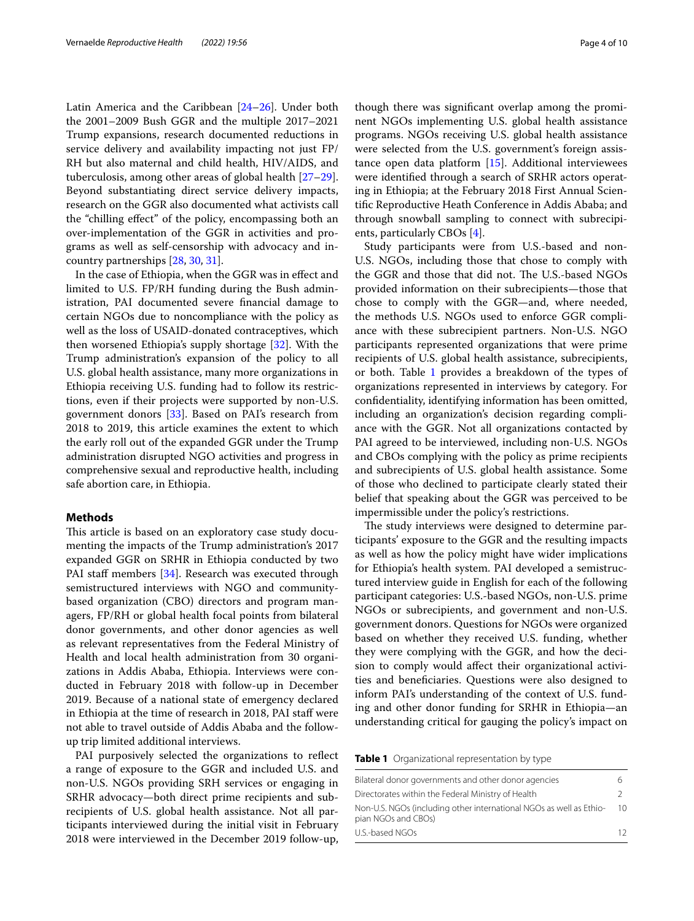Latin America and the Caribbean [[24](#page-9-22)[–26](#page-9-23)]. Under both the 2001–2009 Bush GGR and the multiple 2017–2021 Trump expansions, research documented reductions in service delivery and availability impacting not just FP/ RH but also maternal and child health, HIV/AIDS, and tuberculosis, among other areas of global health [[27](#page-9-24)[–29](#page-9-25)]. Beyond substantiating direct service delivery impacts, research on the GGR also documented what activists call the "chilling efect" of the policy, encompassing both an over-implementation of the GGR in activities and programs as well as self-censorship with advocacy and incountry partnerships [\[28,](#page-9-26) [30](#page-9-27), [31\]](#page-9-28).

In the case of Ethiopia, when the GGR was in efect and limited to U.S. FP/RH funding during the Bush administration, PAI documented severe fnancial damage to certain NGOs due to noncompliance with the policy as well as the loss of USAID-donated contraceptives, which then worsened Ethiopia's supply shortage [[32\]](#page-9-29). With the Trump administration's expansion of the policy to all U.S. global health assistance, many more organizations in Ethiopia receiving U.S. funding had to follow its restrictions, even if their projects were supported by non-U.S. government donors [[33\]](#page-9-30). Based on PAI's research from 2018 to 2019, this article examines the extent to which the early roll out of the expanded GGR under the Trump administration disrupted NGO activities and progress in comprehensive sexual and reproductive health, including safe abortion care, in Ethiopia.

### **Methods**

This article is based on an exploratory case study documenting the impacts of the Trump administration's 2017 expanded GGR on SRHR in Ethiopia conducted by two PAI staff members [\[34](#page-9-31)]. Research was executed through semistructured interviews with NGO and communitybased organization (CBO) directors and program managers, FP/RH or global health focal points from bilateral donor governments, and other donor agencies as well as relevant representatives from the Federal Ministry of Health and local health administration from 30 organizations in Addis Ababa, Ethiopia. Interviews were conducted in February 2018 with follow-up in December 2019. Because of a national state of emergency declared in Ethiopia at the time of research in 2018, PAI staff were not able to travel outside of Addis Ababa and the followup trip limited additional interviews.

PAI purposively selected the organizations to reflect a range of exposure to the GGR and included U.S. and non-U.S. NGOs providing SRH services or engaging in SRHR advocacy—both direct prime recipients and subrecipients of U.S. global health assistance. Not all participants interviewed during the initial visit in February 2018 were interviewed in the December 2019 follow-up, though there was signifcant overlap among the prominent NGOs implementing U.S. global health assistance programs. NGOs receiving U.S. global health assistance were selected from the U.S. government's foreign assistance open data platform [\[15\]](#page-9-14). Additional interviewees were identifed through a search of SRHR actors operating in Ethiopia; at the February 2018 First Annual Scientifc Reproductive Heath Conference in Addis Ababa; and through snowball sampling to connect with subrecipients, particularly CBOs [\[4\]](#page-9-3).

Study participants were from U.S.-based and non-U.S. NGOs, including those that chose to comply with the GGR and those that did not. The U.S.-based NGOs provided information on their subrecipients—those that chose to comply with the GGR—and, where needed, the methods U.S. NGOs used to enforce GGR compliance with these subrecipient partners. Non-U.S. NGO participants represented organizations that were prime recipients of U.S. global health assistance, subrecipients, or both. Table [1](#page-3-0) provides a breakdown of the types of organizations represented in interviews by category. For confdentiality, identifying information has been omitted, including an organization's decision regarding compliance with the GGR. Not all organizations contacted by PAI agreed to be interviewed, including non-U.S. NGOs and CBOs complying with the policy as prime recipients and subrecipients of U.S. global health assistance. Some of those who declined to participate clearly stated their belief that speaking about the GGR was perceived to be impermissible under the policy's restrictions.

The study interviews were designed to determine participants' exposure to the GGR and the resulting impacts as well as how the policy might have wider implications for Ethiopia's health system. PAI developed a semistructured interview guide in English for each of the following participant categories: U.S.-based NGOs, non-U.S. prime NGOs or subrecipients, and government and non-U.S. government donors. Questions for NGOs were organized based on whether they received U.S. funding, whether they were complying with the GGR, and how the decision to comply would afect their organizational activities and benefciaries. Questions were also designed to inform PAI's understanding of the context of U.S. funding and other donor funding for SRHR in Ethiopia—an understanding critical for gauging the policy's impact on

<span id="page-3-0"></span>**Table 1** Organizational representation by type

| Bilateral donor governments and other donor agencies                                       | h  |
|--------------------------------------------------------------------------------------------|----|
| Directorates within the Federal Ministry of Health                                         |    |
| Non-U.S. NGOs (including other international NGOs as well as Ethio-<br>pian NGOs and CBOs) | 10 |
| U.S.-based NGOs                                                                            | 12 |
|                                                                                            |    |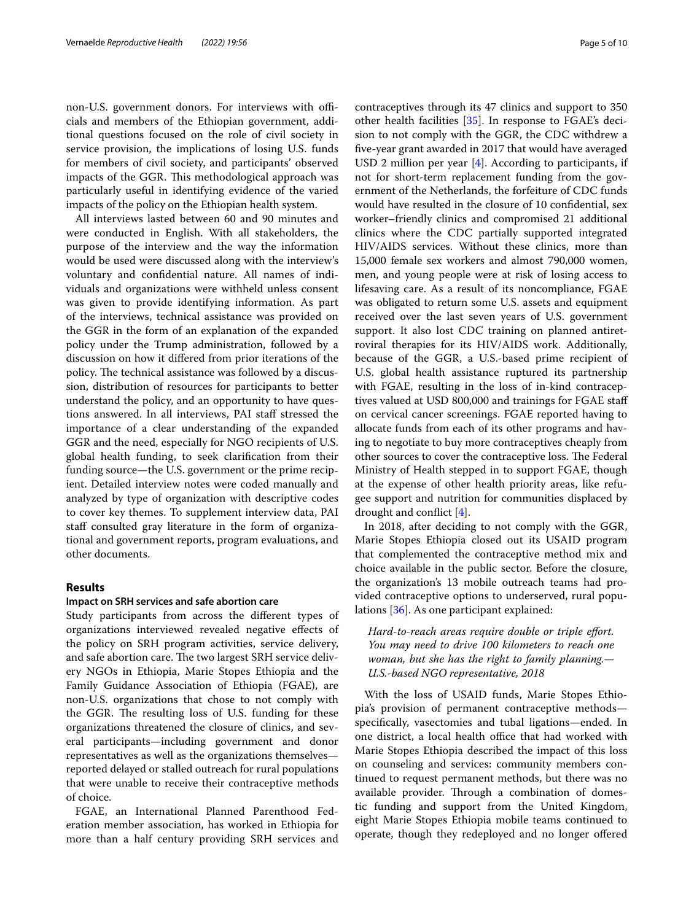non-U.S. government donors. For interviews with officials and members of the Ethiopian government, additional questions focused on the role of civil society in service provision, the implications of losing U.S. funds for members of civil society, and participants' observed impacts of the GGR. This methodological approach was particularly useful in identifying evidence of the varied impacts of the policy on the Ethiopian health system.

All interviews lasted between 60 and 90 minutes and were conducted in English. With all stakeholders, the purpose of the interview and the way the information would be used were discussed along with the interview's voluntary and confdential nature. All names of individuals and organizations were withheld unless consent was given to provide identifying information. As part of the interviews, technical assistance was provided on the GGR in the form of an explanation of the expanded policy under the Trump administration, followed by a discussion on how it difered from prior iterations of the policy. The technical assistance was followed by a discussion, distribution of resources for participants to better understand the policy, and an opportunity to have questions answered. In all interviews, PAI staff stressed the importance of a clear understanding of the expanded GGR and the need, especially for NGO recipients of U.S. global health funding, to seek clarifcation from their funding source—the U.S. government or the prime recipient. Detailed interview notes were coded manually and analyzed by type of organization with descriptive codes to cover key themes. To supplement interview data, PAI staff consulted gray literature in the form of organizational and government reports, program evaluations, and other documents.

## **Results**

## **Impact on SRH services and safe abortion care**

Study participants from across the diferent types of organizations interviewed revealed negative efects of the policy on SRH program activities, service delivery, and safe abortion care. The two largest SRH service delivery NGOs in Ethiopia, Marie Stopes Ethiopia and the Family Guidance Association of Ethiopia (FGAE), are non-U.S. organizations that chose to not comply with the GGR. The resulting loss of U.S. funding for these organizations threatened the closure of clinics, and several participants—including government and donor representatives as well as the organizations themselves reported delayed or stalled outreach for rural populations that were unable to receive their contraceptive methods of choice.

FGAE, an International Planned Parenthood Federation member association, has worked in Ethiopia for more than a half century providing SRH services and contraceptives through its 47 clinics and support to 350 other health facilities [[35](#page-9-32)]. In response to FGAE's decision to not comply with the GGR, the CDC withdrew a fve-year grant awarded in 2017 that would have averaged USD 2 million per year [[4\]](#page-9-3). According to participants, if not for short-term replacement funding from the government of the Netherlands, the forfeiture of CDC funds would have resulted in the closure of 10 confdential, sex worker–friendly clinics and compromised 21 additional clinics where the CDC partially supported integrated HIV/AIDS services. Without these clinics, more than 15,000 female sex workers and almost 790,000 women, men, and young people were at risk of losing access to lifesaving care. As a result of its noncompliance, FGAE was obligated to return some U.S. assets and equipment received over the last seven years of U.S. government support. It also lost CDC training on planned antiretroviral therapies for its HIV/AIDS work. Additionally, because of the GGR, a U.S.-based prime recipient of U.S. global health assistance ruptured its partnership with FGAE, resulting in the loss of in-kind contraceptives valued at USD 800,000 and trainings for FGAE staf on cervical cancer screenings. FGAE reported having to allocate funds from each of its other programs and having to negotiate to buy more contraceptives cheaply from other sources to cover the contraceptive loss. The Federal Ministry of Health stepped in to support FGAE, though at the expense of other health priority areas, like refugee support and nutrition for communities displaced by drought and confict [[4](#page-9-3)].

In 2018, after deciding to not comply with the GGR, Marie Stopes Ethiopia closed out its USAID program that complemented the contraceptive method mix and choice available in the public sector. Before the closure, the organization's 13 mobile outreach teams had provided contraceptive options to underserved, rural populations [\[36](#page-9-33)]. As one participant explained:

*Hard-to-reach areas require double or triple efort. You may need to drive 100 kilometers to reach one woman, but she has the right to family planning.— U.S.-based NGO representative, 2018*

With the loss of USAID funds, Marie Stopes Ethiopia's provision of permanent contraceptive methods specifcally, vasectomies and tubal ligations—ended. In one district, a local health office that had worked with Marie Stopes Ethiopia described the impact of this loss on counseling and services: community members continued to request permanent methods, but there was no available provider. Through a combination of domestic funding and support from the United Kingdom, eight Marie Stopes Ethiopia mobile teams continued to operate, though they redeployed and no longer ofered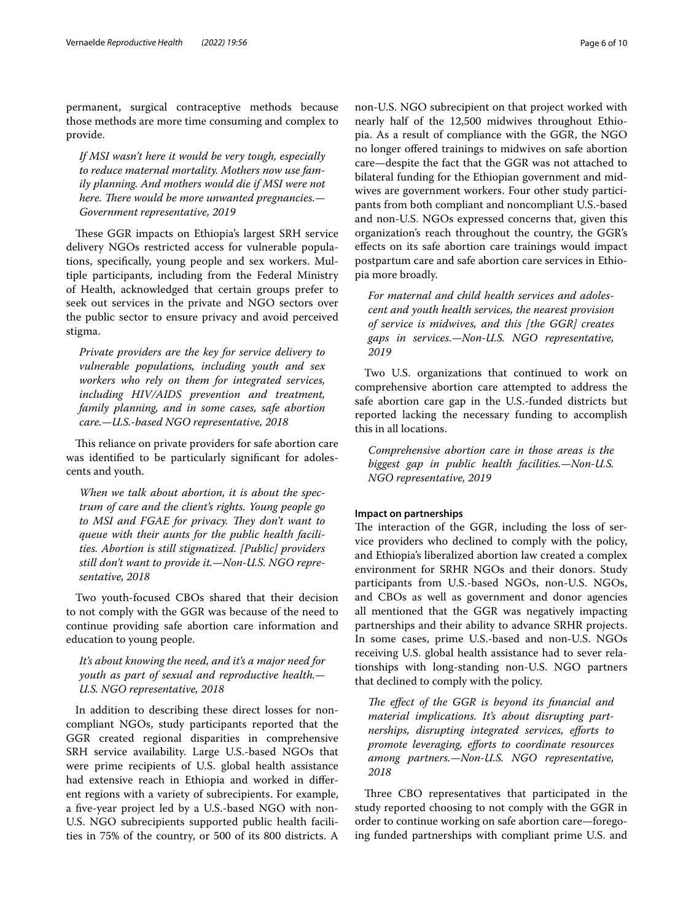permanent, surgical contraceptive methods because those methods are more time consuming and complex to provide.

*If MSI wasn't here it would be very tough, especially to reduce maternal mortality. Mothers now use family planning. And mothers would die if MSI were not here. There would be more unwanted pregnancies.*— *Government representative, 2019*

These GGR impacts on Ethiopia's largest SRH service delivery NGOs restricted access for vulnerable populations, specifcally, young people and sex workers. Multiple participants, including from the Federal Ministry of Health, acknowledged that certain groups prefer to seek out services in the private and NGO sectors over the public sector to ensure privacy and avoid perceived stigma.

*Private providers are the key for service delivery to vulnerable populations, including youth and sex workers who rely on them for integrated services, including HIV/AIDS prevention and treatment, family planning, and in some cases, safe abortion care.—U.S.-based NGO representative, 2018*

This reliance on private providers for safe abortion care was identifed to be particularly signifcant for adolescents and youth.

*When we talk about abortion, it is about the spectrum of care and the client's rights. Young people go*  to MSI and FGAE for privacy. They don't want to *queue with their aunts for the public health facilities. Abortion is still stigmatized. [Public] providers still don't want to provide it.—Non-U.S. NGO representative, 2018*

Two youth-focused CBOs shared that their decision to not comply with the GGR was because of the need to continue providing safe abortion care information and education to young people.

*It's about knowing the need, and it's a major need for youth as part of sexual and reproductive health.— U.S. NGO representative, 2018*

In addition to describing these direct losses for noncompliant NGOs, study participants reported that the GGR created regional disparities in comprehensive SRH service availability. Large U.S.-based NGOs that were prime recipients of U.S. global health assistance had extensive reach in Ethiopia and worked in diferent regions with a variety of subrecipients. For example, a five-year project led by a U.S.-based NGO with non-U.S. NGO subrecipients supported public health facilities in 75% of the country, or 500 of its 800 districts. A non-U.S. NGO subrecipient on that project worked with nearly half of the 12,500 midwives throughout Ethiopia. As a result of compliance with the GGR, the NGO no longer ofered trainings to midwives on safe abortion care—despite the fact that the GGR was not attached to bilateral funding for the Ethiopian government and midwives are government workers. Four other study participants from both compliant and noncompliant U.S.-based and non-U.S. NGOs expressed concerns that, given this organization's reach throughout the country, the GGR's efects on its safe abortion care trainings would impact postpartum care and safe abortion care services in Ethiopia more broadly.

*For maternal and child health services and adolescent and youth health services, the nearest provision of service is midwives, and this [the GGR] creates gaps in services.—Non-U.S. NGO representative, 2019*

Two U.S. organizations that continued to work on comprehensive abortion care attempted to address the safe abortion care gap in the U.S.-funded districts but reported lacking the necessary funding to accomplish this in all locations.

*Comprehensive abortion care in those areas is the biggest gap in public health facilities.—Non-U.S. NGO representative, 2019*

# **Impact on partnerships**

The interaction of the GGR, including the loss of service providers who declined to comply with the policy, and Ethiopia's liberalized abortion law created a complex environment for SRHR NGOs and their donors. Study participants from U.S.-based NGOs, non-U.S. NGOs, and CBOs as well as government and donor agencies all mentioned that the GGR was negatively impacting partnerships and their ability to advance SRHR projects. In some cases, prime U.S.-based and non-U.S. NGOs receiving U.S. global health assistance had to sever relationships with long-standing non-U.S. NGO partners that declined to comply with the policy.

The effect of the GGR is beyond its financial and *material implications. It's about disrupting partnerships, disrupting integrated services, eforts to promote leveraging, eforts to coordinate resources among partners.—Non-U.S. NGO representative, 2018*

Three CBO representatives that participated in the study reported choosing to not comply with the GGR in order to continue working on safe abortion care—foregoing funded partnerships with compliant prime U.S. and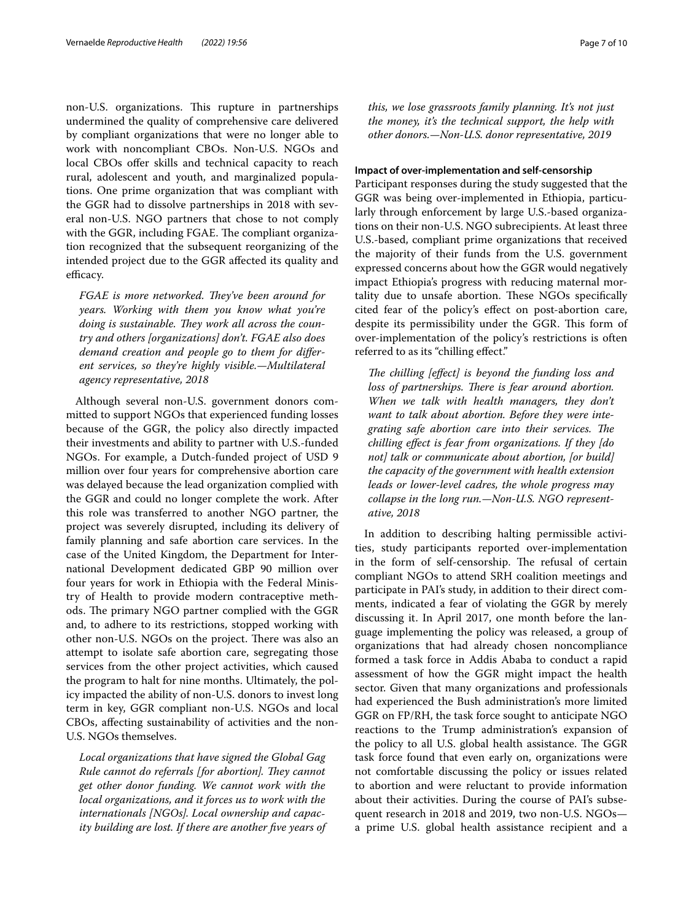non-U.S. organizations. This rupture in partnerships undermined the quality of comprehensive care delivered by compliant organizations that were no longer able to work with noncompliant CBOs. Non-U.S. NGOs and local CBOs offer skills and technical capacity to reach rural, adolescent and youth, and marginalized populations. One prime organization that was compliant with the GGR had to dissolve partnerships in 2018 with several non-U.S. NGO partners that chose to not comply with the GGR, including FGAE. The compliant organization recognized that the subsequent reorganizing of the intended project due to the GGR afected its quality and efficacy.

*FGAE is more networked. They've been around for years. Working with them you know what you're*  doing is sustainable. They work all across the coun*try and others [organizations] don't. FGAE also does demand creation and people go to them for diferent services, so they're highly visible.—Multilateral agency representative, 2018*

Although several non-U.S. government donors committed to support NGOs that experienced funding losses because of the GGR, the policy also directly impacted their investments and ability to partner with U.S.-funded NGOs. For example, a Dutch-funded project of USD 9 million over four years for comprehensive abortion care was delayed because the lead organization complied with the GGR and could no longer complete the work. After this role was transferred to another NGO partner, the project was severely disrupted, including its delivery of family planning and safe abortion care services. In the case of the United Kingdom, the Department for International Development dedicated GBP 90 million over four years for work in Ethiopia with the Federal Ministry of Health to provide modern contraceptive methods. The primary NGO partner complied with the GGR and, to adhere to its restrictions, stopped working with other non-U.S. NGOs on the project. There was also an attempt to isolate safe abortion care, segregating those services from the other project activities, which caused the program to halt for nine months. Ultimately, the policy impacted the ability of non-U.S. donors to invest long term in key, GGR compliant non-U.S. NGOs and local CBOs, afecting sustainability of activities and the non-U.S. NGOs themselves.

*Local organizations that have signed the Global Gag Rule cannot do referrals [for abortion]. They cannot get other donor funding. We cannot work with the local organizations, and it forces us to work with the internationals [NGOs]. Local ownership and capacity building are lost. If there are another fve years of*  *this, we lose grassroots family planning. It's not just the money, it's the technical support, the help with other donors.—Non-U.S. donor representative, 2019*

### **Impact of over‑implementation and self‑censorship**

Participant responses during the study suggested that the GGR was being over-implemented in Ethiopia, particularly through enforcement by large U.S.-based organizations on their non-U.S. NGO subrecipients. At least three U.S.-based, compliant prime organizations that received the majority of their funds from the U.S. government expressed concerns about how the GGR would negatively impact Ethiopia's progress with reducing maternal mortality due to unsafe abortion. These NGOs specifically cited fear of the policy's efect on post-abortion care, despite its permissibility under the GGR. This form of over-implementation of the policy's restrictions is often referred to as its "chilling efect."

*The chilling [effect] is beyond the funding loss and* loss of partnerships. There is fear around abortion. *When we talk with health managers, they don't want to talk about abortion. Before they were inte*grating safe abortion care into their services. The *chilling efect is fear from organizations. If they [do not] talk or communicate about abortion, [or build] the capacity of the government with health extension leads or lower-level cadres, the whole progress may collapse in the long run.—Non-U.S. NGO representative, 2018*

In addition to describing halting permissible activities, study participants reported over-implementation in the form of self-censorship. The refusal of certain compliant NGOs to attend SRH coalition meetings and participate in PAI's study, in addition to their direct comments, indicated a fear of violating the GGR by merely discussing it. In April 2017, one month before the language implementing the policy was released, a group of organizations that had already chosen noncompliance formed a task force in Addis Ababa to conduct a rapid assessment of how the GGR might impact the health sector. Given that many organizations and professionals had experienced the Bush administration's more limited GGR on FP/RH, the task force sought to anticipate NGO reactions to the Trump administration's expansion of the policy to all U.S. global health assistance. The GGR task force found that even early on, organizations were not comfortable discussing the policy or issues related to abortion and were reluctant to provide information about their activities. During the course of PAI's subsequent research in 2018 and 2019, two non-U.S. NGOs a prime U.S. global health assistance recipient and a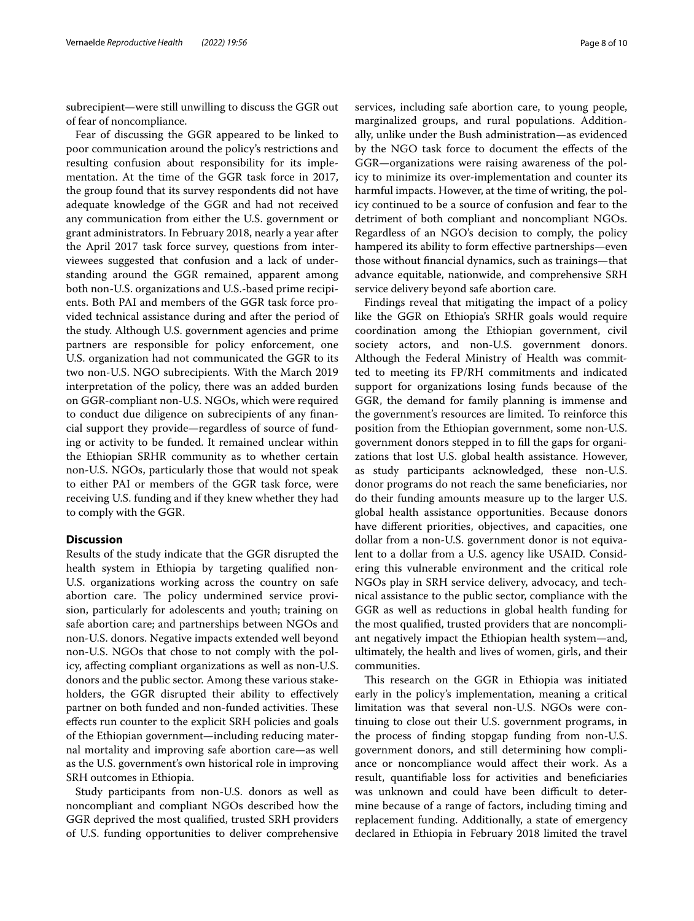subrecipient—were still unwilling to discuss the GGR out of fear of noncompliance.

Fear of discussing the GGR appeared to be linked to poor communication around the policy's restrictions and resulting confusion about responsibility for its implementation. At the time of the GGR task force in 2017, the group found that its survey respondents did not have adequate knowledge of the GGR and had not received any communication from either the U.S. government or grant administrators. In February 2018, nearly a year after the April 2017 task force survey, questions from interviewees suggested that confusion and a lack of understanding around the GGR remained, apparent among both non-U.S. organizations and U.S.-based prime recipients. Both PAI and members of the GGR task force provided technical assistance during and after the period of the study. Although U.S. government agencies and prime partners are responsible for policy enforcement, one U.S. organization had not communicated the GGR to its two non-U.S. NGO subrecipients. With the March 2019 interpretation of the policy, there was an added burden on GGR-compliant non-U.S. NGOs, which were required to conduct due diligence on subrecipients of any fnancial support they provide—regardless of source of funding or activity to be funded. It remained unclear within the Ethiopian SRHR community as to whether certain non-U.S. NGOs, particularly those that would not speak to either PAI or members of the GGR task force, were receiving U.S. funding and if they knew whether they had to comply with the GGR.

# **Discussion**

Results of the study indicate that the GGR disrupted the health system in Ethiopia by targeting qualifed non-U.S. organizations working across the country on safe abortion care. The policy undermined service provision, particularly for adolescents and youth; training on safe abortion care; and partnerships between NGOs and non-U.S. donors. Negative impacts extended well beyond non-U.S. NGOs that chose to not comply with the policy, afecting compliant organizations as well as non-U.S. donors and the public sector. Among these various stakeholders, the GGR disrupted their ability to efectively partner on both funded and non-funded activities. These efects run counter to the explicit SRH policies and goals of the Ethiopian government—including reducing maternal mortality and improving safe abortion care—as well as the U.S. government's own historical role in improving SRH outcomes in Ethiopia.

Study participants from non-U.S. donors as well as noncompliant and compliant NGOs described how the GGR deprived the most qualifed, trusted SRH providers of U.S. funding opportunities to deliver comprehensive services, including safe abortion care, to young people, marginalized groups, and rural populations. Additionally, unlike under the Bush administration—as evidenced by the NGO task force to document the efects of the GGR—organizations were raising awareness of the policy to minimize its over-implementation and counter its harmful impacts. However, at the time of writing, the policy continued to be a source of confusion and fear to the detriment of both compliant and noncompliant NGOs. Regardless of an NGO's decision to comply, the policy hampered its ability to form efective partnerships—even those without fnancial dynamics, such as trainings—that advance equitable, nationwide, and comprehensive SRH service delivery beyond safe abortion care.

Findings reveal that mitigating the impact of a policy like the GGR on Ethiopia's SRHR goals would require coordination among the Ethiopian government, civil society actors, and non-U.S. government donors. Although the Federal Ministry of Health was committed to meeting its FP/RH commitments and indicated support for organizations losing funds because of the GGR, the demand for family planning is immense and the government's resources are limited. To reinforce this position from the Ethiopian government, some non-U.S. government donors stepped in to fll the gaps for organizations that lost U.S. global health assistance. However, as study participants acknowledged, these non-U.S. donor programs do not reach the same benefciaries, nor do their funding amounts measure up to the larger U.S. global health assistance opportunities. Because donors have diferent priorities, objectives, and capacities, one dollar from a non-U.S. government donor is not equivalent to a dollar from a U.S. agency like USAID. Considering this vulnerable environment and the critical role NGOs play in SRH service delivery, advocacy, and technical assistance to the public sector, compliance with the GGR as well as reductions in global health funding for the most qualifed, trusted providers that are noncompliant negatively impact the Ethiopian health system—and, ultimately, the health and lives of women, girls, and their communities.

This research on the GGR in Ethiopia was initiated early in the policy's implementation, meaning a critical limitation was that several non-U.S. NGOs were continuing to close out their U.S. government programs, in the process of fnding stopgap funding from non-U.S. government donors, and still determining how compliance or noncompliance would afect their work. As a result, quantifable loss for activities and benefciaries was unknown and could have been difficult to determine because of a range of factors, including timing and replacement funding. Additionally, a state of emergency declared in Ethiopia in February 2018 limited the travel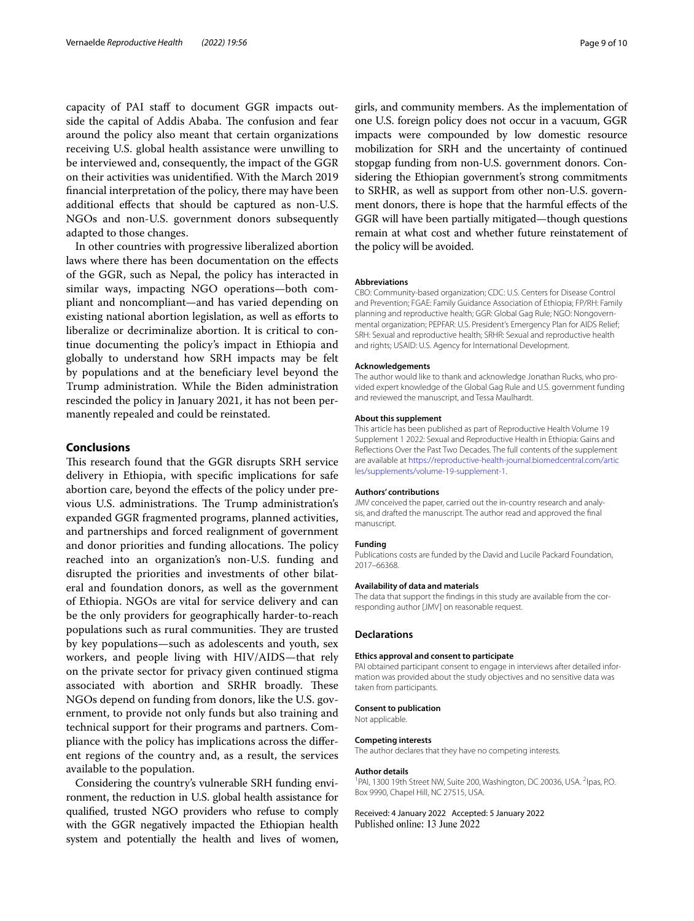capacity of PAI staff to document GGR impacts outside the capital of Addis Ababa. The confusion and fear around the policy also meant that certain organizations receiving U.S. global health assistance were unwilling to be interviewed and, consequently, the impact of the GGR on their activities was unidentifed. With the March 2019 fnancial interpretation of the policy, there may have been additional efects that should be captured as non-U.S. NGOs and non-U.S. government donors subsequently adapted to those changes.

In other countries with progressive liberalized abortion laws where there has been documentation on the efects of the GGR, such as Nepal, the policy has interacted in similar ways, impacting NGO operations—both compliant and noncompliant—and has varied depending on existing national abortion legislation, as well as efforts to liberalize or decriminalize abortion. It is critical to continue documenting the policy's impact in Ethiopia and globally to understand how SRH impacts may be felt by populations and at the benefciary level beyond the Trump administration. While the Biden administration rescinded the policy in January 2021, it has not been permanently repealed and could be reinstated.

### **Conclusions**

This research found that the GGR disrupts SRH service delivery in Ethiopia, with specifc implications for safe abortion care, beyond the efects of the policy under previous U.S. administrations. The Trump administration's expanded GGR fragmented programs, planned activities, and partnerships and forced realignment of government and donor priorities and funding allocations. The policy reached into an organization's non-U.S. funding and disrupted the priorities and investments of other bilateral and foundation donors, as well as the government of Ethiopia. NGOs are vital for service delivery and can be the only providers for geographically harder-to-reach populations such as rural communities. They are trusted by key populations—such as adolescents and youth, sex workers, and people living with HIV/AIDS—that rely on the private sector for privacy given continued stigma associated with abortion and SRHR broadly. These NGOs depend on funding from donors, like the U.S. government, to provide not only funds but also training and technical support for their programs and partners. Compliance with the policy has implications across the diferent regions of the country and, as a result, the services available to the population.

Considering the country's vulnerable SRH funding environment, the reduction in U.S. global health assistance for qualifed, trusted NGO providers who refuse to comply with the GGR negatively impacted the Ethiopian health system and potentially the health and lives of women, girls, and community members. As the implementation of one U.S. foreign policy does not occur in a vacuum, GGR impacts were compounded by low domestic resource mobilization for SRH and the uncertainty of continued stopgap funding from non-U.S. government donors. Considering the Ethiopian government's strong commitments to SRHR, as well as support from other non-U.S. government donors, there is hope that the harmful efects of the GGR will have been partially mitigated—though questions remain at what cost and whether future reinstatement of the policy will be avoided.

#### **Abbreviations**

CBO: Community-based organization; CDC: U.S. Centers for Disease Control and Prevention; FGAE: Family Guidance Association of Ethiopia; FP/RH: Family planning and reproductive health; GGR: Global Gag Rule; NGO: Nongovernmental organization; PEPFAR: U.S. President's Emergency Plan for AIDS Relief; SRH: Sexual and reproductive health; SRHR: Sexual and reproductive health and rights; USAID: U.S. Agency for International Development.

#### **Acknowledgements**

The author would like to thank and acknowledge Jonathan Rucks, who provided expert knowledge of the Global Gag Rule and U.S. government funding and reviewed the manuscript, and Tessa Maulhardt.

#### **About this supplement**

This article has been published as part of Reproductive Health Volume 19 Supplement 1 2022: Sexual and Reproductive Health in Ethiopia: Gains and Refections Over the Past Two Decades. The full contents of the supplement are available at [https://reproductive-health-journal.biomedcentral.com/artic](https://reproductive-health-journal.biomedcentral.com/articles/supplements/volume-19-supplement-1) [les/supplements/volume-19-supplement-1](https://reproductive-health-journal.biomedcentral.com/articles/supplements/volume-19-supplement-1).

#### **Authors' contributions**

JMV conceived the paper, carried out the in-country research and analysis, and drafted the manuscript. The author read and approved the fnal manuscript.

#### **Funding**

Publications costs are funded by the David and Lucile Packard Foundation, 2017–66368.

#### **Availability of data and materials**

The data that support the fndings in this study are available from the corresponding author [JMV] on reasonable request.

#### **Declarations**

#### **Ethics approval and consent to participate**

PAI obtained participant consent to engage in interviews after detailed information was provided about the study objectives and no sensitive data was taken from participants.

#### **Consent to publication**

Not applicable.

#### **Competing interests**

The author declares that they have no competing interests.

#### **Author details**

<sup>1</sup>PAI, 1300 19th Street NW, Suite 200, Washington, DC 20036, USA. <sup>2</sup>Ipas, P.O. Box 9990, Chapel Hill, NC 27515, USA.

### Received: 4 January 2022 Accepted: 5 January 2022Published online: 13 June 2022